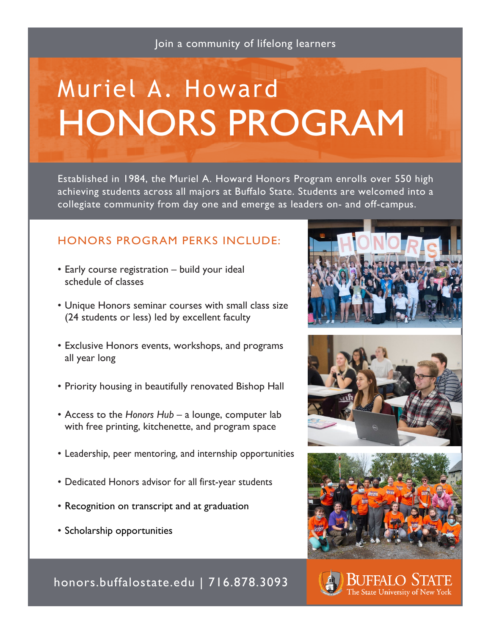Join a community of lifelong learners

# Muriel A. Howard HONORS PROGRAM

Established in 1984, the Muriel A. Howard Honors Program enrolls over 550 high achieving students across all majors at Buffalo State. Students are welcomed into a collegiate community from day one and emerge as leaders on- and off-campus.

# HONORS PROGRAM PERKS INCLUDE:

- Early course registration build your ideal schedule of classes
- Unique Honors seminar courses with small class size (24 students or less) led by excellent faculty
- Exclusive Honors events, workshops, and programs all year long
- Priority housing in beautifully renovated Bishop Hall
- Access to the *Honors Hub* a lounge, computer lab with free printing, kitchenette, and program space
- Leadership, peer mentoring, and internship opportunities
- Dedicated Honors advisor for all first-year students
- Recognition on transcript and at graduation
- Scholarship opportunities









honors.buffalostate.edu | 716.878.3093